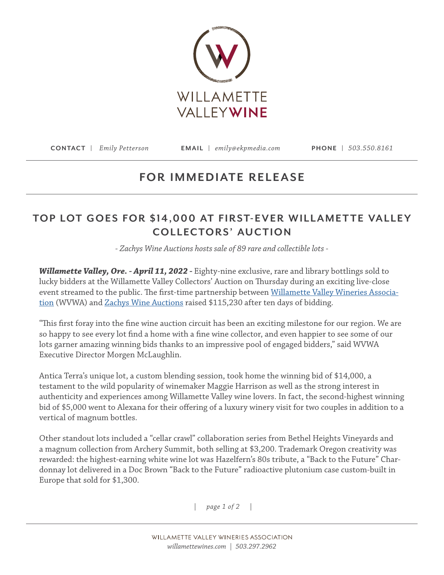

**CONTACT |** *Emily Petterson* **EMAIL |** *emily@ekpmedia.com* **PHONE |** *503.550.8161*

## **FOR IMMEDIATE RELEASE**

## TOP LOT GOES FOR \$14,000 AT FIRST-EVER WILLAMETTE VALLEY **COLLECTORS' AUCTION**

*- Zachys Wine Auctions hosts sale of 89 rare and collectible lots -* 

*Willamette Valley, Ore. - April 11, 2022 -* Eighty-nine exclusive, rare and library bottlings sold to lucky bidders at the Willamette Valley Collectors' Auction on Thursday during an exciting live-close event streamed to the public. The first-time partnership between [Willamette Valley Wineries Associa](http://www.willamettewines.com)[tion](http://www.willamettewines.com) (WVWA) and [Zachys Wine Auctions](https://auction.zachys.com/) raised \$115,230 after ten days of bidding.

"This first foray into the fine wine auction circuit has been an exciting milestone for our region. We are so happy to see every lot find a home with a fine wine collector, and even happier to see some of our lots garner amazing winning bids thanks to an impressive pool of engaged bidders," said WVWA Executive Director Morgen McLaughlin.

Antica Terra's unique lot, a custom blending session, took home the winning bid of \$14,000, a testament to the wild popularity of winemaker Maggie Harrison as well as the strong interest in authenticity and experiences among Willamette Valley wine lovers. In fact, the second-highest winning bid of \$5,000 went to Alexana for their offering of a luxury winery visit for two couples in addition to a vertical of magnum bottles.

Other standout lots included a "cellar crawl" collaboration series from Bethel Heights Vineyards and a magnum collection from Archery Summit, both selling at \$3,200. Trademark Oregon creativity was rewarded: the highest-earning white wine lot was Hazelfern's 80s tribute, a "Back to the Future" Chardonnay lot delivered in a Doc Brown "Back to the Future" radioactive plutonium case custom-built in Europe that sold for \$1,300.

*| page 1 of 2 |*